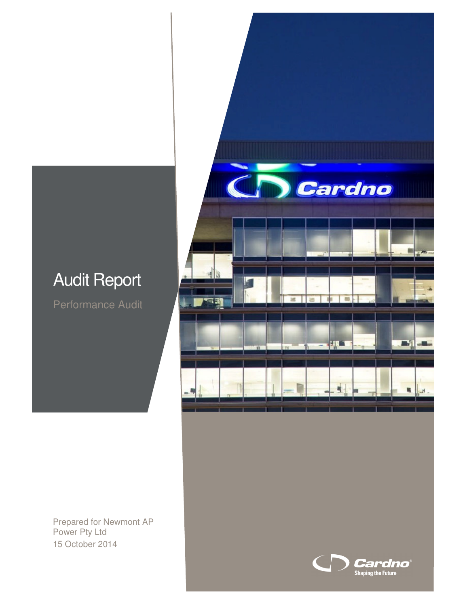# Audit Report

Performance Audit



Prepared for Newmont AP Power Pty Ltd 15 October 2014

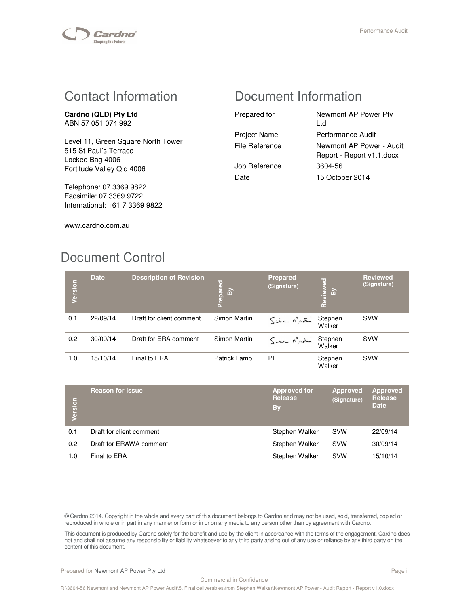

## Contact Information

**Cardno (QLD) Pty Ltd**  ABN 57 051 074 992

Level 11, Green Square North Tower 515 St Paul's Terrace Locked Bag 4006 Fortitude Valley Qld 4006

Telephone: 07 3369 9822 Facsimile: 07 3369 9722 International: +61 7 3369 9822

# Document Information

| Prepared for        | Newmont AP Power Pty<br>l td                          |
|---------------------|-------------------------------------------------------|
| <b>Project Name</b> | Performance Audit                                     |
| File Reference      | Newmont AP Power - Audit<br>Report - Report v1.1.docx |
| Job Reference       | 3604-56                                               |
| Date                | 15 October 2014                                       |

www.cardno.com.au

# Document Control

| Version | <b>Date</b> | <b>Description of Revision</b> | Prepared<br>By | <b>Prepared</b><br>(Signature) | Reviewed<br>$\tilde{a}$ | <b>Reviewed</b><br>(Signature) |
|---------|-------------|--------------------------------|----------------|--------------------------------|-------------------------|--------------------------------|
| 0.1     | 22/09/14    | Draft for client comment       | Simon Martin   | Sim Martin                     | Stephen<br>Walker       | <b>SVW</b>                     |
| 0.2     | 30/09/14    | Draft for ERA comment          | Simon Martin   | Sim Mati                       | Stephen<br>Walker       | <b>SVW</b>                     |
| 1.0     | 15/10/14    | Final to ERA                   | Patrick Lamb   | PL                             | Stephen<br>Walker       | <b>SVW</b>                     |

| Version | <b>Reason for Issue</b>  | <b>Approved for</b><br><b>Release</b><br>By | <b>Approved</b><br>(Signature) | <b>Approved</b><br>Release<br><b>Date</b> |
|---------|--------------------------|---------------------------------------------|--------------------------------|-------------------------------------------|
| 0.1     | Draft for client comment | Stephen Walker                              | <b>SVW</b>                     | 22/09/14                                  |
| 0.2     | Draft for ERAWA comment  | Stephen Walker                              | <b>SVW</b>                     | 30/09/14                                  |
| 1.0     | Final to ERA             | Stephen Walker                              | <b>SVW</b>                     | 15/10/14                                  |

© Cardno 2014. Copyright in the whole and every part of this document belongs to Cardno and may not be used, sold, transferred, copied or reproduced in whole or in part in any manner or form or in or on any media to any person other than by agreement with Cardno.

This document is produced by Cardno solely for the benefit and use by the client in accordance with the terms of the engagement. Cardno does not and shall not assume any responsibility or liability whatsoever to any third party arising out of any use or reliance by any third party on the content of this document.

Prepared for Newmont AP Power Pty Ltd **Page in the United States and AP Page in the Page in the Page in the Page i**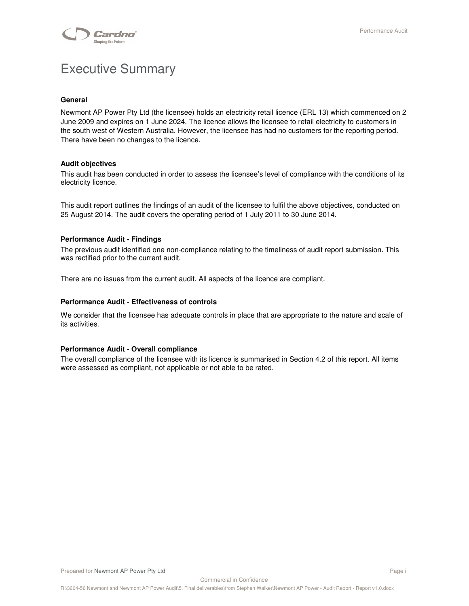

# Executive Summary

#### **General**

Newmont AP Power Pty Ltd (the licensee) holds an electricity retail licence (ERL 13) which commenced on 2 June 2009 and expires on 1 June 2024. The licence allows the licensee to retail electricity to customers in the south west of Western Australia. However, the licensee has had no customers for the reporting period. There have been no changes to the licence.

#### **Audit objectives**

This audit has been conducted in order to assess the licensee's level of compliance with the conditions of its electricity licence.

This audit report outlines the findings of an audit of the licensee to fulfil the above objectives, conducted on 25 August 2014. The audit covers the operating period of 1 July 2011 to 30 June 2014.

#### **Performance Audit - Findings**

The previous audit identified one non-compliance relating to the timeliness of audit report submission. This was rectified prior to the current audit.

There are no issues from the current audit. All aspects of the licence are compliant.

#### **Performance Audit - Effectiveness of controls**

We consider that the licensee has adequate controls in place that are appropriate to the nature and scale of its activities.

#### **Performance Audit - Overall compliance**

The overall compliance of the licensee with its licence is summarised in Section 4.2 of this report. All items were assessed as compliant, not applicable or not able to be rated.

Commercial in Confidence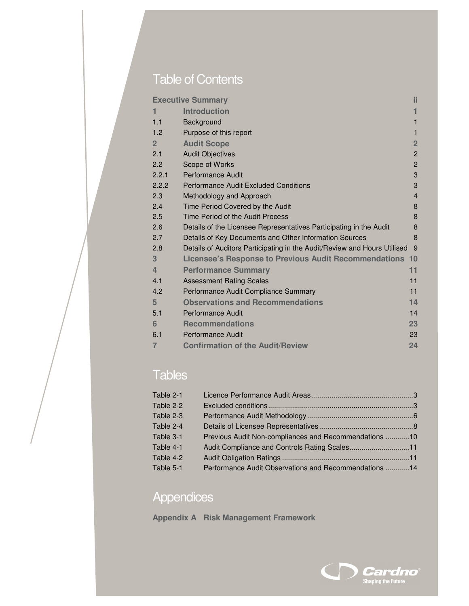# Table of Contents

|                | <b>Executive Summary</b>                                                 | ii.            |
|----------------|--------------------------------------------------------------------------|----------------|
| 1              | <b>Introduction</b>                                                      | 1              |
| 1.1            | Background                                                               | 1              |
| 1.2            | Purpose of this report                                                   | $\mathbf{1}$   |
| $\overline{2}$ | <b>Audit Scope</b>                                                       | $\overline{2}$ |
| 2.1            | <b>Audit Objectives</b>                                                  | $\overline{2}$ |
| 2.2            | Scope of Works                                                           | $\overline{2}$ |
| 2.2.1          | <b>Performance Audit</b>                                                 | 3              |
| 2.2.2          | <b>Performance Audit Excluded Conditions</b>                             | 3              |
| 2.3            | Methodology and Approach                                                 | $\overline{4}$ |
| 2.4            | Time Period Covered by the Audit                                         | 8              |
| 2.5            | Time Period of the Audit Process                                         | 8              |
| 2.6            | Details of the Licensee Representatives Participating in the Audit       | 8              |
| 2.7            | Details of Key Documents and Other Information Sources                   | 8              |
| 2.8            | Details of Auditors Participating in the Audit/Review and Hours Utilised | 9              |
| 3              | Licensee's Response to Previous Audit Recommendations 10                 |                |
| $\overline{4}$ | <b>Performance Summary</b>                                               | 11             |
| 4.1            | <b>Assessment Rating Scales</b>                                          | 11             |
| 4.2            | Performance Audit Compliance Summary                                     | 11             |
| $5\phantom{.}$ | <b>Observations and Recommendations</b>                                  | 14             |
| 5.1            | <b>Performance Audit</b>                                                 | 14             |
| 6              | <b>Recommendations</b>                                                   | 23             |
| 6.1            | Performance Audit                                                        | 23             |
| $\overline{7}$ | <b>Confirmation of the Audit/Review</b>                                  | 24             |
|                |                                                                          |                |

# Tables

| Table 2-1 |                                                       |  |
|-----------|-------------------------------------------------------|--|
| Table 2-2 |                                                       |  |
| Table 2-3 |                                                       |  |
| Table 2-4 |                                                       |  |
| Table 3-1 | Previous Audit Non-compliances and Recommendations 10 |  |
| Table 4-1 | Audit Compliance and Controls Rating Scales11         |  |
| Table 4-2 |                                                       |  |
| Table 5-1 | Performance Audit Observations and Recommendations 14 |  |

# **Appendices**

**Appendix A Risk Management Framework**

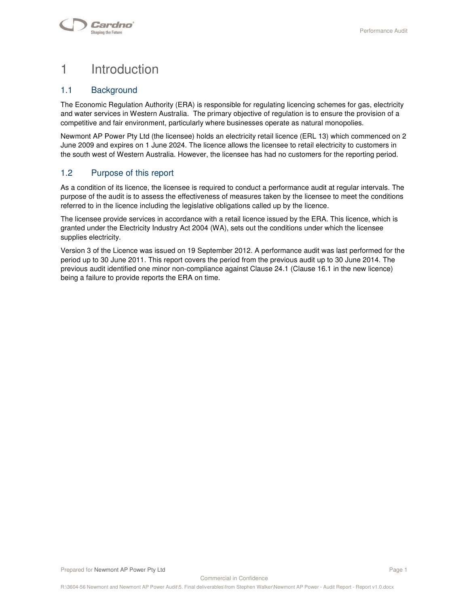# 1 Introduction

## 1.1 Background

The Economic Regulation Authority (ERA) is responsible for regulating licencing schemes for gas, electricity and water services in Western Australia. The primary objective of regulation is to ensure the provision of a competitive and fair environment, particularly where businesses operate as natural monopolies.

Newmont AP Power Pty Ltd (the licensee) holds an electricity retail licence (ERL 13) which commenced on 2 June 2009 and expires on 1 June 2024. The licence allows the licensee to retail electricity to customers in the south west of Western Australia. However, the licensee has had no customers for the reporting period.

## 1.2 Purpose of this report

As a condition of its licence, the licensee is required to conduct a performance audit at regular intervals. The purpose of the audit is to assess the effectiveness of measures taken by the licensee to meet the conditions referred to in the licence including the legislative obligations called up by the licence.

The licensee provide services in accordance with a retail licence issued by the ERA. This licence, which is granted under the Electricity Industry Act 2004 (WA), sets out the conditions under which the licensee supplies electricity.

Version 3 of the Licence was issued on 19 September 2012. A performance audit was last performed for the period up to 30 June 2011. This report covers the period from the previous audit up to 30 June 2014. The previous audit identified one minor non-compliance against Clause 24.1 (Clause 16.1 in the new licence) being a failure to provide reports the ERA on time.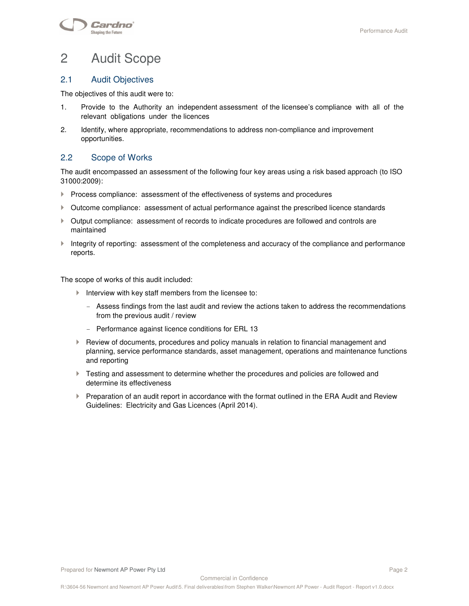# 2 Audit Scope

## 2.1 Audit Objectives

The objectives of this audit were to:

- 1. Provide to the Authority an independent assessment of the licensee's compliance with all of the relevant obligations under the licences
- 2. Identify, where appropriate, recommendations to address non-compliance and improvement opportunities.

## 2.2 Scope of Works

The audit encompassed an assessment of the following four key areas using a risk based approach (to ISO 31000:2009):

- $\blacktriangleright$  Process compliance: assessment of the effectiveness of systems and procedures
- Outcome compliance: assessment of actual performance against the prescribed licence standards
- Output compliance: assessment of records to indicate procedures are followed and controls are maintained
- Integrity of reporting: assessment of the completeness and accuracy of the compliance and performance reports.

The scope of works of this audit included:

- Interview with key staff members from the licensee to:
	- Assess findings from the last audit and review the actions taken to address the recommendations from the previous audit / review
	- Performance against licence conditions for ERL 13
- **Review of documents, procedures and policy manuals in relation to financial management and** planning, service performance standards, asset management, operations and maintenance functions and reporting
- Testing and assessment to determine whether the procedures and policies are followed and determine its effectiveness
- Preparation of an audit report in accordance with the format outlined in the ERA Audit and Review Guidelines: Electricity and Gas Licences (April 2014).

Commercial in Confidence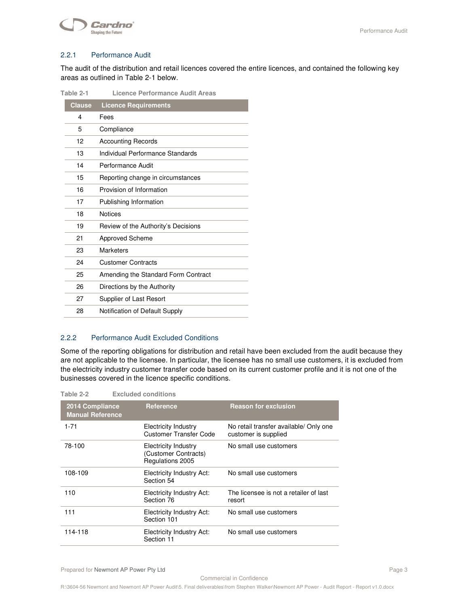

#### 2.2.1 Performance Audit

The audit of the distribution and retail licences covered the entire licences, and contained the following key areas as outlined in Table 2-1 below.

| rapie z-i     | Licence Periormance Audit Areas     |
|---------------|-------------------------------------|
| <b>Clause</b> | <b>Licence Requirements</b>         |
| 4             | Fees                                |
| 5             | Compliance                          |
| 12            | <b>Accounting Records</b>           |
| 13            | Individual Performance Standards    |
| 14            | Performance Audit                   |
| 15            | Reporting change in circumstances   |
| 16            | Provision of Information            |
| 17            | Publishing Information              |
| 18            | <b>Notices</b>                      |
| 19            | Review of the Authority's Decisions |
| 21            | <b>Approved Scheme</b>              |
| 23            | Marketers                           |
| 24            | <b>Customer Contracts</b>           |
| 25            | Amending the Standard Form Contract |
| 26            | Directions by the Authority         |
| 27            | Supplier of Last Resort             |
| 28            | Notification of Default Supply      |

## **Table 2-1 Licence Performance Audit Areas**

#### 2.2.2 Performance Audit Excluded Conditions

Some of the reporting obligations for distribution and retail have been excluded from the audit because they are not applicable to the licensee. In particular, the licensee has no small use customers, it is excluded from the electricity industry customer transfer code based on its current customer profile and it is not one of the businesses covered in the licence specific conditions.

| Table 2-2                                  | <b>Excluded conditions</b>                                              |                                                                |
|--------------------------------------------|-------------------------------------------------------------------------|----------------------------------------------------------------|
| 2014 Compliance<br><b>Manual Reference</b> | <b>Reference</b>                                                        | <b>Reason for exclusion</b>                                    |
| $1 - 71$                                   | <b>Electricity Industry</b><br><b>Customer Transfer Code</b>            | No retail transfer available/ Only one<br>customer is supplied |
| 78-100                                     | <b>Electricity Industry</b><br>(Customer Contracts)<br>Regulations 2005 | No small use customers                                         |
| 108-109                                    | <b>Electricity Industry Act:</b><br>Section 54                          | No small use customers                                         |
| 110                                        | <b>Electricity Industry Act:</b><br>Section 76                          | The licensee is not a retailer of last<br>resort               |
| 111                                        | <b>Electricity Industry Act:</b><br>Section 101                         | No small use customers                                         |
| 114-118                                    | <b>Electricity Industry Act:</b><br>Section 11                          | No small use customers                                         |

Commercial in Confidence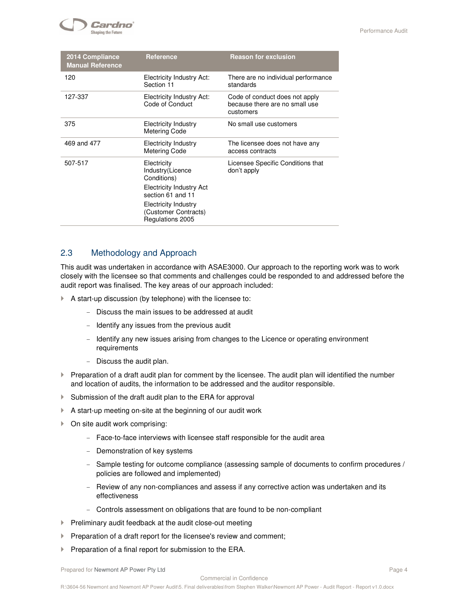

| 2014 Compliance<br><b>Manual Reference</b>                  | <b>Reference</b>                                                                             | <b>Reason for exclusion</b>                                                   |
|-------------------------------------------------------------|----------------------------------------------------------------------------------------------|-------------------------------------------------------------------------------|
| 120<br>Electricity Industry Act:<br>Section 11<br>standards |                                                                                              | There are no individual performance                                           |
| 127-337                                                     | <b>Electricity Industry Act:</b><br>Code of Conduct                                          | Code of conduct does not apply<br>because there are no small use<br>customers |
| 375                                                         | <b>Electricity Industry</b><br><b>Metering Code</b>                                          | No small use customers                                                        |
| 469 and 477                                                 | Electricity Industry<br><b>Metering Code</b>                                                 | The licensee does not have any<br>access contracts                            |
| 507-517                                                     | Electricity<br>Industry(Licence<br>Conditions)<br><b>Electricity Industry Act</b>            | Licensee Specific Conditions that<br>don't apply                              |
|                                                             | section 61 and 11<br><b>Electricity Industry</b><br>(Customer Contracts)<br>Regulations 2005 |                                                                               |

## 2.3 Methodology and Approach

This audit was undertaken in accordance with ASAE3000. Our approach to the reporting work was to work closely with the licensee so that comments and challenges could be responded to and addressed before the audit report was finalised. The key areas of our approach included:

- A start-up discussion (by telephone) with the licensee to:
	- Discuss the main issues to be addressed at audit
	- Identify any issues from the previous audit
	- Identify any new issues arising from changes to the Licence or operating environment requirements
	- Discuss the audit plan.
- $\blacktriangleright$  Preparation of a draft audit plan for comment by the licensee. The audit plan will identified the number and location of audits, the information to be addressed and the auditor responsible.
- Submission of the draft audit plan to the ERA for approval
- A start-up meeting on-site at the beginning of our audit work
- ▶ On site audit work comprising:
	- Face-to-face interviews with licensee staff responsible for the audit area
	- Demonstration of key systems
	- Sample testing for outcome compliance (assessing sample of documents to confirm procedures / policies are followed and implemented)
	- Review of any non-compliances and assess if any corrective action was undertaken and its effectiveness
	- Controls assessment on obligations that are found to be non-compliant
- $\blacktriangleright$  Preliminary audit feedback at the audit close-out meeting
- $\blacktriangleright$  Preparation of a draft report for the licensee's review and comment;
- $\blacktriangleright$  Preparation of a final report for submission to the ERA.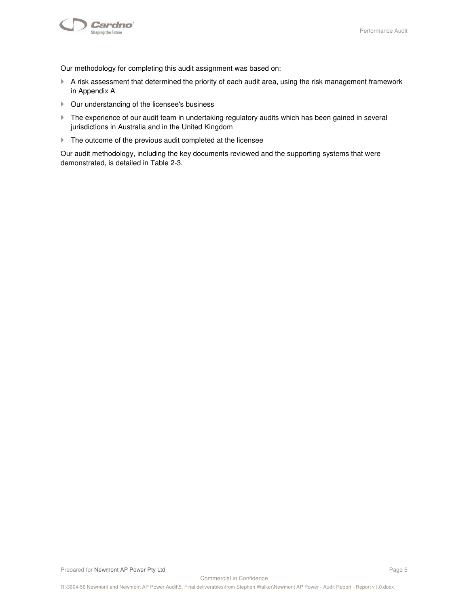

Our methodology for completing this audit assignment was based on:

- A risk assessment that determined the priority of each audit area, using the risk management framework in Appendix A
- Our understanding of the licensee's business
- The experience of our audit team in undertaking regulatory audits which has been gained in several jurisdictions in Australia and in the United Kingdom
- $\blacktriangleright$  The outcome of the previous audit completed at the licensee

Our audit methodology, including the key documents reviewed and the supporting systems that were demonstrated, is detailed in Table 2-3.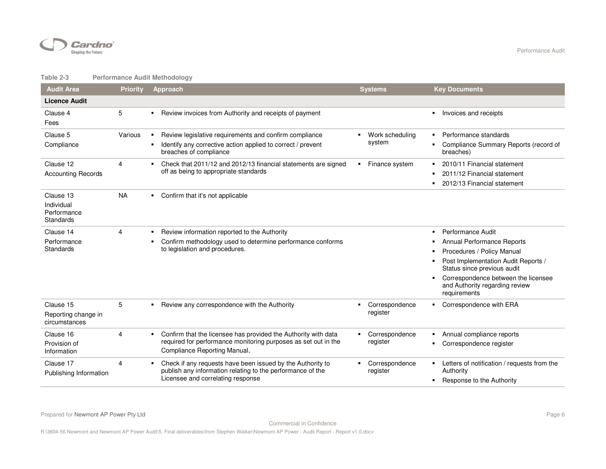

#### **Table 2-3 Performance Audit Methodology**

| <b>Audit Area</b>                                   | <b>Priority</b> | <b>Approach</b>                                                                                                                                                  | <b>Systems</b>                   | <b>Key Documents</b>                                                                                                                                                                                                                               |
|-----------------------------------------------------|-----------------|------------------------------------------------------------------------------------------------------------------------------------------------------------------|----------------------------------|----------------------------------------------------------------------------------------------------------------------------------------------------------------------------------------------------------------------------------------------------|
| <b>Licence Audit</b>                                |                 |                                                                                                                                                                  |                                  |                                                                                                                                                                                                                                                    |
| Clause 4<br>Fees                                    | 5               | Review invoices from Authority and receipts of payment                                                                                                           |                                  | Invoices and receipts                                                                                                                                                                                                                              |
| Clause 5<br>Compliance                              | Various         | Review legislative requirements and confirm compliance<br>Identify any corrective action applied to correct / prevent<br>breaches of compliance                  | Work scheduling<br>system        | Performance standards<br>Compliance Summary Reports (record of<br>breaches)                                                                                                                                                                        |
| Clause 12<br><b>Accounting Records</b>              | 4               | Check that 2011/12 and 2012/13 financial statements are signed<br>off as being to appropriate standards                                                          | Finance system<br>٠              | 2010/11 Financial statement<br>2011/12 Financial statement<br>2012/13 Financial statement                                                                                                                                                          |
| Clause 13<br>Individual<br>Performance<br>Standards | <b>NA</b>       | Confirm that it's not applicable<br>$\blacksquare$                                                                                                               |                                  |                                                                                                                                                                                                                                                    |
| Clause 14<br>Performance<br>Standards               | 4               | Review information reported to the Authority<br>Confirm methodology used to determine performance conforms<br>to legislation and procedures.                     |                                  | Performance Audit<br>٠.<br>Annual Performance Reports<br>Procedures / Policy Manual<br>Post Implementation Audit Reports /<br>Status since previous audit<br>Correspondence between the licensee<br>and Authority regarding review<br>requirements |
| Clause 15<br>Reporting change in<br>circumstances   | 5               | Review any correspondence with the Authority<br>٠                                                                                                                | Correspondence<br>register       | • Correspondence with ERA                                                                                                                                                                                                                          |
| Clause 16<br>Provision of<br>Information            | 4               | Confirm that the licensee has provided the Authority with data<br>required for performance monitoring purposes as set out in the<br>Compliance Reporting Manual. | Correspondence<br>٠<br>register  | Annual compliance reports<br>Correspondence register<br>ш                                                                                                                                                                                          |
| Clause 17<br>Publishing Information                 | 4               | Check if any requests have been issued by the Authority to<br>publish any information relating to the performance of the<br>Licensee and correlating response    | Correspondence<br>۰.<br>register | Letters of notification / requests from the<br>Authority<br>Response to the Authority                                                                                                                                                              |

Commercial in Confidence

R:\3604-56 Newmont and Newmont AP Power Audit\5. Final deliverables\from Stephen Walker\Newmont AP Power - Audit Report - Report v1.0.docx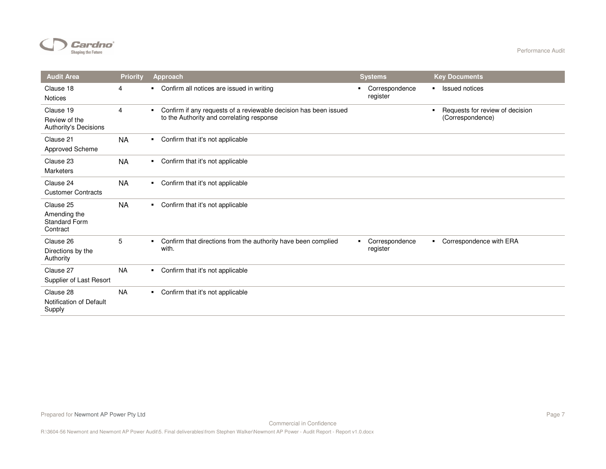

| <b>Audit Area</b>                                             | <b>Priority</b> | Approach                                                                                                            | <b>Systems</b>                  | <b>Key Documents</b>                                                  |
|---------------------------------------------------------------|-----------------|---------------------------------------------------------------------------------------------------------------------|---------------------------------|-----------------------------------------------------------------------|
| Clause 18<br><b>Notices</b>                                   | 4               | Confirm all notices are issued in writing<br>$\blacksquare$                                                         | Correspondence<br>register      | <b>Issued notices</b><br>$\blacksquare$                               |
| Clause 19<br>Review of the<br>Authority's Decisions           | $\overline{4}$  | Confirm if any requests of a reviewable decision has been issued<br>٠.<br>to the Authority and correlating response |                                 | Requests for review of decision<br>$\blacksquare$<br>(Correspondence) |
| Clause 21<br>Approved Scheme                                  | <b>NA</b>       | Confirm that it's not applicable<br>$\blacksquare$                                                                  |                                 |                                                                       |
| Clause 23<br>Marketers                                        | <b>NA</b>       | Confirm that it's not applicable<br>$\blacksquare$                                                                  |                                 |                                                                       |
| Clause 24<br><b>Customer Contracts</b>                        | <b>NA</b>       | Confirm that it's not applicable<br>$\blacksquare$                                                                  |                                 |                                                                       |
| Clause 25<br>Amending the<br><b>Standard Form</b><br>Contract | <b>NA</b>       | Confirm that it's not applicable<br>۰.                                                                              |                                 |                                                                       |
| Clause 26<br>Directions by the<br>Authority                   | 5               | Confirm that directions from the authority have been complied<br>٠.<br>with.                                        | Correspondence<br>٠<br>register | Correspondence with ERA                                               |
| Clause 27<br>Supplier of Last Resort                          | <b>NA</b>       | Confirm that it's not applicable<br>$\blacksquare$                                                                  |                                 |                                                                       |
| Clause 28<br>Notification of Default<br>Supply                | <b>NA</b>       | Confirm that it's not applicable                                                                                    |                                 |                                                                       |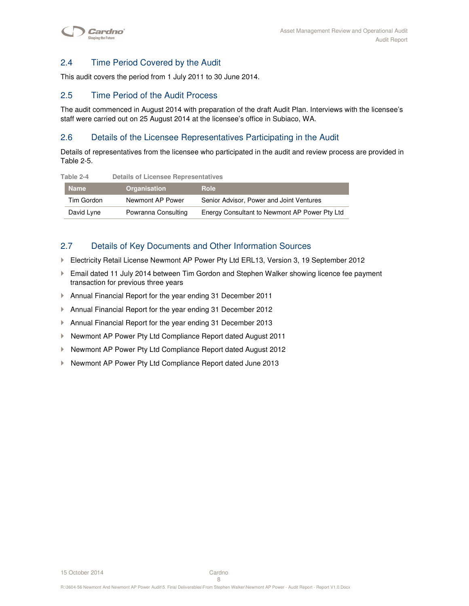## 2.4 Time Period Covered by the Audit

This audit covers the period from 1 July 2011 to 30 June 2014.

## 2.5 Time Period of the Audit Process

The audit commenced in August 2014 with preparation of the draft Audit Plan. Interviews with the licensee's staff were carried out on 25 August 2014 at the licensee's office in Subiaco, WA.

## 2.6 Details of the Licensee Representatives Participating in the Audit

Details of representatives from the licensee who participated in the audit and review process are provided in Table 2-5.

| Taple 2-4   | Details of Licensee Representatives |                                               |
|-------------|-------------------------------------|-----------------------------------------------|
| <b>Name</b> | <b>Organisation</b>                 | <b>Role</b>                                   |
| Tim Gordon  | Newmont AP Power                    | Senior Advisor, Power and Joint Ventures      |
| David Lyne  | Powranna Consulting                 | Energy Consultant to Newmont AP Power Pty Ltd |

## **Table 2-4 Details of Licensee Representatives**

## 2.7 Details of Key Documents and Other Information Sources

- Electricity Retail License Newmont AP Power Pty Ltd ERL13, Version 3, 19 September 2012
- Email dated 11 July 2014 between Tim Gordon and Stephen Walker showing licence fee payment transaction for previous three years
- Annual Financial Report for the year ending 31 December 2011
- Annual Financial Report for the year ending 31 December 2012
- Annual Financial Report for the year ending 31 December 2013
- ▶ Newmont AP Power Pty Ltd Compliance Report dated August 2011
- ▶ Newmont AP Power Pty Ltd Compliance Report dated August 2012
- Newmont AP Power Pty Ltd Compliance Report dated June 2013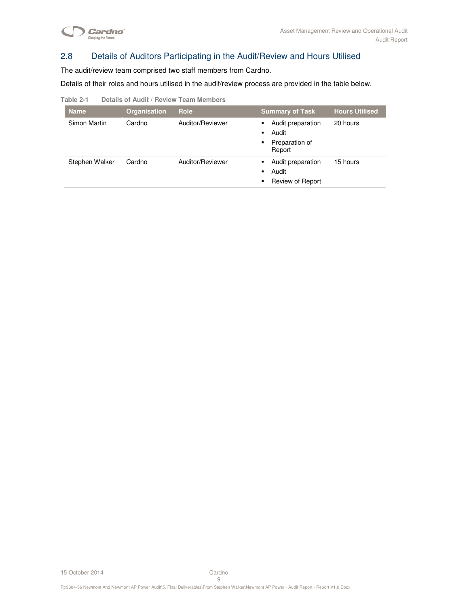

## 2.8 Details of Auditors Participating in the Audit/Review and Hours Utilised

The audit/review team comprised two staff members from Cardno.

Details of their roles and hours utilised in the audit/review process are provided in the table below.

| Table 2-1 | Details of Audit / Review Team Members |  |  |
|-----------|----------------------------------------|--|--|
|           |                                        |  |  |

| <b>Name</b>    | Organisation | <b>Role</b>      | <b>Summary of Task</b>                                                | <b>Hours Utilised</b> |
|----------------|--------------|------------------|-----------------------------------------------------------------------|-----------------------|
| Simon Martin   | Cardno       | Auditor/Reviewer | Audit preparation<br>٠<br>Audit<br>٠<br>Preparation of<br>٠<br>Report | 20 hours              |
| Stephen Walker | Cardno       | Auditor/Reviewer | Audit preparation<br>٠<br>Audit<br>٠<br>Review of Report<br>٠         | 15 hours              |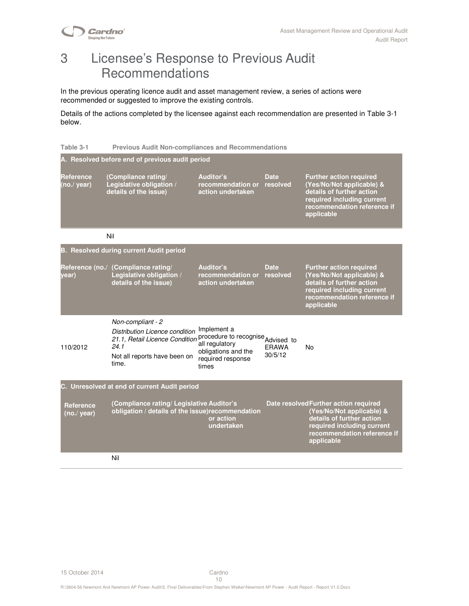

# 3 Licensee's Response to Previous Audit Recommendations

In the previous operating licence audit and asset management review, a series of actions were recommended or suggested to improve the existing controls.

Details of the actions completed by the licensee against each recommendation are presented in Table 3-1 below.

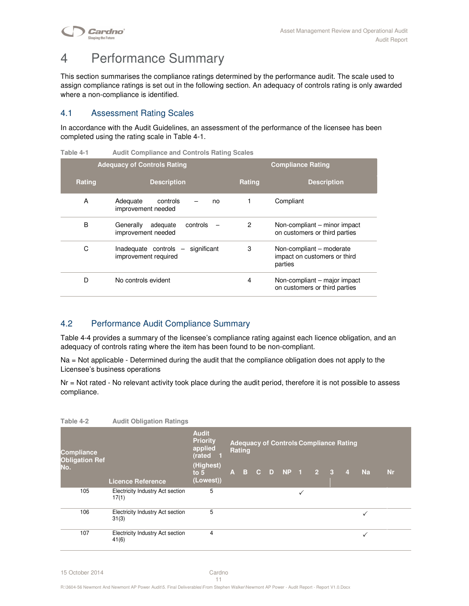**Cardno**® **Shaping the Future** 

# 4 Performance Summary

This section summarises the compliance ratings determined by the performance audit. The scale used to assign compliance ratings is set out in the following section. An adequacy of controls rating is only awarded where a non-compliance is identified.

## 4.1 Assessment Rating Scales

In accordance with the Audit Guidelines, an assessment of the performance of the licensee has been completed using the rating scale in Table 4-1.

**Table 4-1 Audit Compliance and Controls Rating Scales** 

|        | <b>Adequacy of Controls Rating</b>                             | <b>Compliance Rating</b> |                                                                     |  |  |  |
|--------|----------------------------------------------------------------|--------------------------|---------------------------------------------------------------------|--|--|--|
| Rating | <b>Description</b>                                             | Rating                   | <b>Description</b>                                                  |  |  |  |
| A      | Adequate<br>controls<br>no<br>improvement needed               |                          | Compliant                                                           |  |  |  |
| B      | Generally<br>adequate<br>controls<br>improvement needed        | 2                        | Non-compliant – minor impact<br>on customers or third parties       |  |  |  |
| C      | significant<br>$Inadequate controls -$<br>improvement required | 3                        | Non-compliant – moderate<br>impact on customers or third<br>parties |  |  |  |
| D      | No controls evident                                            | 4                        | Non-compliant - major impact<br>on customers or third parties       |  |  |  |

## 4.2 Performance Audit Compliance Summary

Table 4-4 provides a summary of the licensee's compliance rating against each licence obligation, and an adequacy of controls rating where the item has been found to be non-compliant.

Na = Not applicable - Determined during the audit that the compliance obligation does not apply to the Licensee's business operations

Nr = Not rated - No relevant activity took place during the audit period, therefore it is not possible to assess compliance.

| Table 4-2                                  | <b>Audit Obligation Ratings</b>                  |                                                        |               |  |              |              |                                               |                |              |           |  |
|--------------------------------------------|--------------------------------------------------|--------------------------------------------------------|---------------|--|--------------|--------------|-----------------------------------------------|----------------|--------------|-----------|--|
| <b>Compliance</b><br><b>Obligation Ref</b> |                                                  | <b>Audit</b><br><b>Priority</b><br>applied<br>(rated 1 | <b>Rating</b> |  |              |              | <b>Adequacy of Controls Compliance Rating</b> |                |              |           |  |
| No.                                        |                                                  | (Highest)<br>to $5$                                    |               |  | A B C D NP 1 |              | $\overline{2}$ 3                              | $\overline{4}$ | <b>Na</b>    | <b>Nr</b> |  |
|                                            | <b>Licence Reference</b>                         | (Lowest))                                              |               |  |              |              |                                               |                |              |           |  |
| 105                                        | <b>Electricity Industry Act section</b><br>17(1) | 5                                                      |               |  |              | $\checkmark$ |                                               |                |              |           |  |
| 106                                        | Electricity Industry Act section<br>31(3)        | 5                                                      |               |  |              |              |                                               |                | $\checkmark$ |           |  |
| 107                                        | Electricity Industry Act section<br>41(6)        | 4                                                      |               |  |              |              |                                               |                | ✓            |           |  |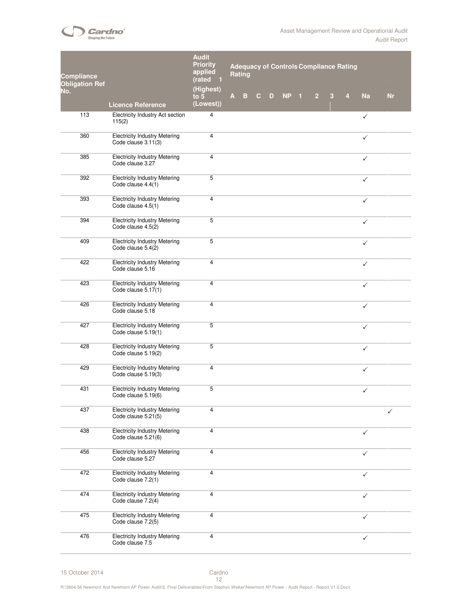

| Compliance<br>Obligation Ref<br>No. |                                                             | <b>Audit</b><br><b>Priority</b><br>applied<br>(rated<br>(Highest) | <b>Adequacy of Controls Compliance Rating</b><br><b>Rating</b> |   |              |   |           |    |                |   |   |              |           |
|-------------------------------------|-------------------------------------------------------------|-------------------------------------------------------------------|----------------------------------------------------------------|---|--------------|---|-----------|----|----------------|---|---|--------------|-----------|
|                                     | Licence Reference                                           | to $5$<br>(Lowest))                                               | A                                                              | B | $\mathbf{C}$ | D | <b>NP</b> | -1 | $\overline{2}$ | 3 | 4 | <b>Na</b>    | <b>Nr</b> |
| 113                                 | Electricity Industry Act section<br>115(2)                  | 4                                                                 |                                                                |   |              |   |           |    |                |   |   | $\checkmark$ |           |
| 360                                 | <b>Electricity Industry Metering</b><br>Code clause 3.11(3) | 4                                                                 |                                                                |   |              |   |           |    |                |   |   | ✓            |           |
| 385                                 | <b>Electricity Industry Metering</b><br>Code clause 3.27    | 4                                                                 |                                                                |   |              |   |           |    |                |   |   | $\checkmark$ |           |
| 392                                 | <b>Electricity Industry Metering</b><br>Code clause 4.4(1)  | 5                                                                 |                                                                |   |              |   |           |    |                |   |   | $\checkmark$ |           |
| 393                                 | <b>Electricity Industry Metering</b><br>Code clause 4.5(1)  | 4                                                                 |                                                                |   |              |   |           |    |                |   |   | $\checkmark$ |           |
| 394                                 | <b>Electricity Industry Metering</b><br>Code clause 4.5(2)  | 5                                                                 |                                                                |   |              |   |           |    |                |   |   | $\checkmark$ |           |
| 409                                 | <b>Electricity Industry Metering</b><br>Code clause 5.4(2)  | 5                                                                 |                                                                |   |              |   |           |    |                |   |   | $\checkmark$ |           |
| 422                                 | <b>Electricity Industry Metering</b><br>Code clause 5.16    | 4                                                                 |                                                                |   |              |   |           |    |                |   |   | $\checkmark$ |           |
| 423                                 | <b>Electricity Industry Metering</b><br>Code clause 5.17(1) | 4                                                                 |                                                                |   |              |   |           |    |                |   |   | $\checkmark$ |           |
| 426                                 | <b>Electricity Industry Metering</b><br>Code clause 5.18    | 4                                                                 |                                                                |   |              |   |           |    |                |   |   | $\checkmark$ |           |
| 427                                 | <b>Electricity Industry Metering</b><br>Code clause 5.19(1) | 5                                                                 |                                                                |   |              |   |           |    |                |   |   | $\checkmark$ |           |
| 428                                 | <b>Electricity Industry Metering</b><br>Code clause 5.19(2) | 5                                                                 |                                                                |   |              |   |           |    |                |   |   | $\checkmark$ |           |
| 429                                 | <b>Electricity Industry Metering</b><br>Code clause 5.19(3) | 4                                                                 |                                                                |   |              |   |           |    |                |   |   | $\checkmark$ |           |
| 431                                 | <b>Electricity Industry Metering</b><br>Code clause 5.19(6) | 5                                                                 |                                                                |   |              |   |           |    |                |   |   | $\checkmark$ |           |
| 437                                 | <b>Electricity Industry Metering</b><br>Code clause 5.21(5) | 4                                                                 |                                                                |   |              |   |           |    |                |   |   |              | ✓         |
| 438                                 | <b>Electricity Industry Metering</b><br>Code clause 5.21(6) | 4                                                                 |                                                                |   |              |   |           |    |                |   |   | $\checkmark$ |           |
| 456                                 | <b>Electricity Industry Metering</b><br>Code clause 5.27    | 4                                                                 |                                                                |   |              |   |           |    |                |   |   | $\checkmark$ |           |
| 472                                 | <b>Electricity Industry Metering</b><br>Code clause 7.2(1)  | 4                                                                 |                                                                |   |              |   |           |    |                |   |   | ✓            |           |
| 474                                 | <b>Electricity Industry Metering</b><br>Code clause 7.2(4)  | 4                                                                 |                                                                |   |              |   |           |    |                |   |   | $\checkmark$ |           |
| 475                                 | <b>Electricity Industry Metering</b><br>Code clause 7.2(5)  | 4                                                                 |                                                                |   |              |   |           |    |                |   |   | $\checkmark$ |           |
| 476                                 | <b>Electricity Industry Metering</b><br>Code clause 7.5     | 4                                                                 |                                                                |   |              |   |           |    |                |   |   | $\checkmark$ |           |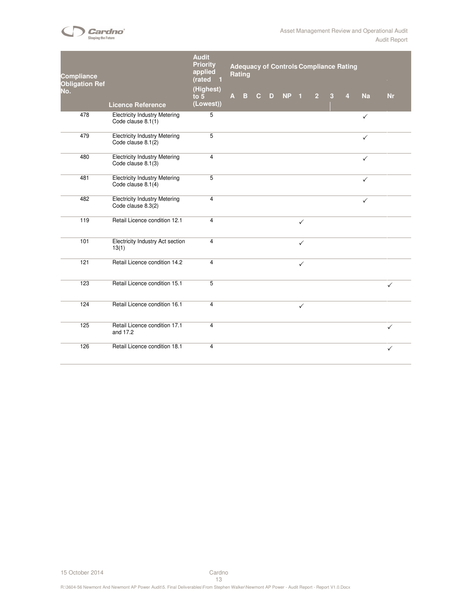

| <b>Compliance</b><br><b>Obligation Ref</b> |                                                            | <b>Audit</b><br><b>Priority</b><br>applied<br>(rated<br>- 1<br>(Highest) |              | <b>Rating</b> |              |   |                 |              |                |                | <b>Adequacy of Controls Compliance Rating</b> |              |              |
|--------------------------------------------|------------------------------------------------------------|--------------------------------------------------------------------------|--------------|---------------|--------------|---|-----------------|--------------|----------------|----------------|-----------------------------------------------|--------------|--------------|
| No.                                        | <b>Licence Reference</b>                                   | to $5$<br>(Lowest))                                                      | $\mathbf{A}$ | $\mathbf{B}$  | $\mathbf{C}$ | D | NP <sub>1</sub> |              | $\overline{2}$ | $\overline{3}$ | $\overline{4}$                                | Na           | <b>Nr</b>    |
| 478                                        | <b>Electricity Industry Metering</b><br>Code clause 8.1(1) | 5                                                                        |              |               |              |   |                 |              |                |                |                                               | $\checkmark$ |              |
| 479                                        | <b>Electricity Industry Metering</b><br>Code clause 8.1(2) | $\overline{5}$                                                           |              |               |              |   |                 |              |                |                |                                               | ✓            |              |
| 480                                        | <b>Electricity Industry Metering</b><br>Code clause 8.1(3) | 4                                                                        |              |               |              |   |                 |              |                |                |                                               | $\checkmark$ |              |
| 481                                        | <b>Electricity Industry Metering</b><br>Code clause 8.1(4) | 5                                                                        |              |               |              |   |                 |              |                |                |                                               | $\checkmark$ |              |
| 482                                        | <b>Electricity Industry Metering</b><br>Code clause 8.3(2) | $\overline{4}$                                                           |              |               |              |   |                 |              |                |                |                                               | $\checkmark$ |              |
| 119                                        | Retail Licence condition 12.1                              | $\overline{4}$                                                           |              |               |              |   |                 | $\checkmark$ |                |                |                                               |              |              |
| 101                                        | Electricity Industry Act section<br>13(1)                  | 4                                                                        |              |               |              |   |                 | $\checkmark$ |                |                |                                               |              |              |
| 121                                        | Retail Licence condition 14.2                              | 4                                                                        |              |               |              |   |                 | $\checkmark$ |                |                |                                               |              |              |
| 123                                        | Retail Licence condition 15.1                              | 5                                                                        |              |               |              |   |                 |              |                |                |                                               |              | $\checkmark$ |
| 124                                        | Retail Licence condition 16.1                              | $\overline{4}$                                                           |              |               |              |   |                 | $\checkmark$ |                |                |                                               |              |              |
| 125                                        | Retail Licence condition 17.1<br>and 17.2                  | $\overline{4}$                                                           |              |               |              |   |                 |              |                |                |                                               |              | $\checkmark$ |
| 126                                        | Retail Licence condition 18.1                              | 4                                                                        |              |               |              |   |                 |              |                |                |                                               |              | $\checkmark$ |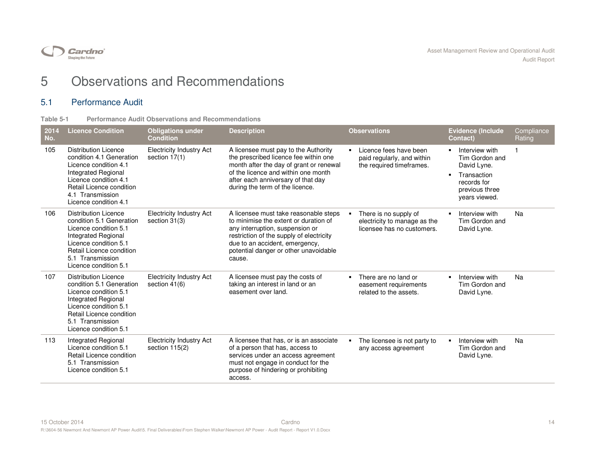

# 5 Observations and Recommendations

## 5.1 Performance Audit

| Table 5-1 |  |  | <b>Performance Audit Observations and Recommendations</b> |
|-----------|--|--|-----------------------------------------------------------|
|           |  |  |                                                           |

| 2014<br>No. | <b>Licence Condition</b>                                                                                                                                                                                  | <b>Obligations under</b><br><b>Condition</b>       | <b>Description</b>                                                                                                                                                                                                                                 |                | <b>Observations</b>                                                                 | <b>Evidence (Include</b><br>Contact)                                                                             | Compliance<br>Rating |
|-------------|-----------------------------------------------------------------------------------------------------------------------------------------------------------------------------------------------------------|----------------------------------------------------|----------------------------------------------------------------------------------------------------------------------------------------------------------------------------------------------------------------------------------------------------|----------------|-------------------------------------------------------------------------------------|------------------------------------------------------------------------------------------------------------------|----------------------|
| 105         | <b>Distribution Licence</b><br>condition 4.1 Generation<br>Licence condition 4.1<br>Integrated Regional<br>Licence condition 4.1<br>Retail Licence condition<br>4.1 Transmission<br>Licence condition 4.1 | <b>Electricity Industry Act</b><br>section 17(1)   | A licensee must pay to the Authority<br>the prescribed licence fee within one<br>month after the day of grant or renewal<br>of the licence and within one month<br>after each anniversary of that day<br>during the term of the licence.           |                | Licence fees have been<br>paid regularly, and within<br>the required timeframes.    | Interview with<br>Tim Gordon and<br>David Lyne.<br>Transaction<br>records for<br>previous three<br>years viewed. |                      |
| 106         | <b>Distribution Licence</b><br>condition 5.1 Generation<br>Licence condition 5.1<br>Integrated Regional<br>Licence condition 5.1<br>Retail Licence condition<br>5.1 Transmission<br>Licence condition 5.1 | <b>Electricity Industry Act</b><br>section 31(3)   | A licensee must take reasonable steps<br>to minimise the extent or duration of<br>any interruption, suspension or<br>restriction of the supply of electricity<br>due to an accident, emergency,<br>potential danger or other unavoidable<br>cause. |                | There is no supply of<br>electricity to manage as the<br>licensee has no customers. | Interview with<br>Tim Gordon and<br>David Lyne.                                                                  | Na                   |
| 107         | <b>Distribution Licence</b><br>condition 5.1 Generation<br>Licence condition 5.1<br>Integrated Regional<br>Licence condition 5.1<br>Retail Licence condition<br>5.1 Transmission<br>Licence condition 5.1 | <b>Electricity Industry Act</b><br>section $41(6)$ | A licensee must pay the costs of<br>taking an interest in land or an<br>easement over land.                                                                                                                                                        | $\blacksquare$ | There are no land or<br>easement requirements<br>related to the assets.             | Interview with<br>Tim Gordon and<br>David Lyne.                                                                  | Na                   |
| 113         | Integrated Regional<br>Licence condition 5.1<br>Retail Licence condition<br>5.1 Transmission<br>Licence condition 5.1                                                                                     | <b>Electricity Industry Act</b><br>section 115(2)  | A licensee that has, or is an associate<br>of a person that has, access to<br>services under an access agreement<br>must not engage in conduct for the<br>purpose of hindering or prohibiting<br>access.                                           |                | The licensee is not party to<br>any access agreement                                | Interview with<br>Tim Gordon and<br>David Lyne.                                                                  | Na                   |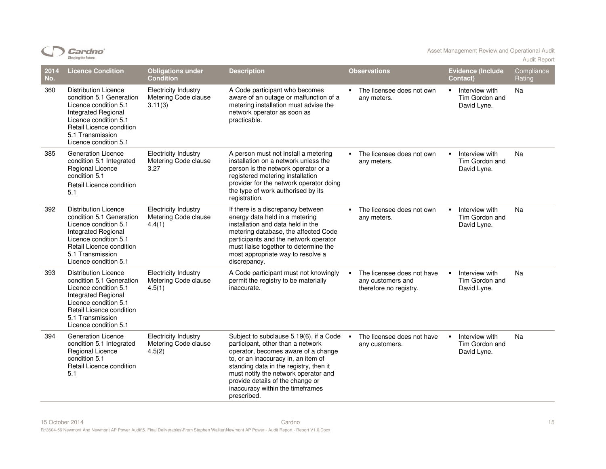|             | <b>Shaping the Future</b>                                                                                                                                                                                 |                                                                |                                                                                                                                                                                                                                                                                                                                     |                                                                           |                                                                   | <b>Audit Report</b>  |
|-------------|-----------------------------------------------------------------------------------------------------------------------------------------------------------------------------------------------------------|----------------------------------------------------------------|-------------------------------------------------------------------------------------------------------------------------------------------------------------------------------------------------------------------------------------------------------------------------------------------------------------------------------------|---------------------------------------------------------------------------|-------------------------------------------------------------------|----------------------|
| 2014<br>No. | <b>Licence Condition</b>                                                                                                                                                                                  | <b>Obligations under</b><br><b>Condition</b>                   | <b>Description</b>                                                                                                                                                                                                                                                                                                                  | <b>Observations</b>                                                       | <b>Evidence (Include</b><br>Contact)                              | Compliance<br>Rating |
| 360         | <b>Distribution Licence</b><br>condition 5.1 Generation<br>Licence condition 5.1<br>Integrated Regional<br>Licence condition 5.1<br>Retail Licence condition<br>5.1 Transmission<br>Licence condition 5.1 | <b>Electricity Industry</b><br>Metering Code clause<br>3.11(3) | A Code participant who becomes<br>aware of an outage or malfunction of a<br>metering installation must advise the<br>network operator as soon as<br>practicable.                                                                                                                                                                    | • The licensee does not own<br>any meters.                                | Interview with<br>$\blacksquare$<br>Tim Gordon and<br>David Lyne. | Na                   |
| 385         | <b>Generation Licence</b><br>condition 5.1 Integrated<br>Regional Licence<br>condition 5.1<br>Retail Licence condition<br>5.1                                                                             | <b>Electricity Industry</b><br>Metering Code clause<br>3.27    | A person must not install a metering<br>installation on a network unless the<br>person is the network operator or a<br>registered metering installation<br>provider for the network operator doing<br>the type of work authorised by its<br>registration.                                                                           | The licensee does not own<br>$\mathbf{r}$<br>any meters.                  | Interview with<br>$\blacksquare$<br>Tim Gordon and<br>David Lyne. | Na                   |
| 392         | <b>Distribution Licence</b><br>condition 5.1 Generation<br>Licence condition 5.1<br>Integrated Regional<br>Licence condition 5.1<br>Retail Licence condition<br>5.1 Transmission<br>Licence condition 5.1 | <b>Electricity Industry</b><br>Metering Code clause<br>4.4(1)  | If there is a discrepancy between<br>energy data held in a metering<br>installation and data held in the<br>metering database, the affected Code<br>participants and the network operator<br>must liaise together to determine the<br>most appropriate way to resolve a<br>discrepancy.                                             | The licensee does not own<br>$\mathbf{r}$<br>any meters.                  | Interview with<br>$\blacksquare$<br>Tim Gordon and<br>David Lyne. | Na                   |
| 393         | <b>Distribution Licence</b><br>condition 5.1 Generation<br>Licence condition 5.1<br>Integrated Regional<br>Licence condition 5.1<br>Retail Licence condition<br>5.1 Transmission<br>Licence condition 5.1 | <b>Electricity Industry</b><br>Metering Code clause<br>4.5(1)  | A Code participant must not knowingly<br>permit the registry to be materially<br>inaccurate.                                                                                                                                                                                                                                        | The licensee does not have<br>any customers and<br>therefore no registry. | Interview with<br>$\blacksquare$<br>Tim Gordon and<br>David Lyne. | Na                   |
| 394         | <b>Generation Licence</b><br>condition 5.1 Integrated<br>Regional Licence<br>condition 5.1<br>Retail Licence condition<br>5.1                                                                             | <b>Electricity Industry</b><br>Metering Code clause<br>4.5(2)  | Subject to subclause 5.19(6), if a Code<br>participant, other than a network<br>operator, becomes aware of a change<br>to, or an inaccuracy in, an item of<br>standing data in the registry, then it<br>must notify the network operator and<br>provide details of the change or<br>inaccuracy within the timeframes<br>prescribed. | The licensee does not have<br>$\blacksquare$<br>any customers.            | Interview with<br>$\blacksquare$<br>Tim Gordon and<br>David Lyne. | Na                   |

 $CD$  Cardno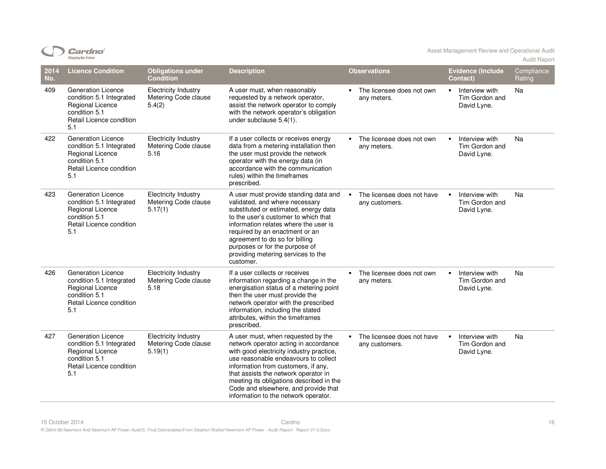|             | <b>Shaping the Future</b>                                                                                                            |                                                                |                                                                                                                                                                                                                                                                                                                                                                            |                                                            |                                                                   | <b>Audit Report</b>  |
|-------------|--------------------------------------------------------------------------------------------------------------------------------------|----------------------------------------------------------------|----------------------------------------------------------------------------------------------------------------------------------------------------------------------------------------------------------------------------------------------------------------------------------------------------------------------------------------------------------------------------|------------------------------------------------------------|-------------------------------------------------------------------|----------------------|
| 2014<br>No. | <b>Licence Condition</b>                                                                                                             | <b>Obligations under</b><br><b>Condition</b>                   | <b>Description</b>                                                                                                                                                                                                                                                                                                                                                         | <b>Observations</b>                                        | <b>Evidence (Include</b><br>Contact)                              | Compliance<br>Rating |
| 409         | <b>Generation Licence</b><br>condition 5.1 Integrated<br>Regional Licence<br>condition 5.1<br>Retail Licence condition<br>5.1        | <b>Electricity Industry</b><br>Metering Code clause<br>5.4(2)  | A user must, when reasonably<br>requested by a network operator,<br>assist the network operator to comply<br>with the network operator's obligation<br>under subclause 5.4(1).                                                                                                                                                                                             | The licensee does not own<br>$\blacksquare$<br>any meters. | Interview with<br>$\blacksquare$<br>Tim Gordon and<br>David Lyne. | Na                   |
| 422         | <b>Generation Licence</b><br>condition 5.1 Integrated<br>Regional Licence<br>condition 5.1<br>Retail Licence condition<br>5.1        | <b>Electricity Industry</b><br>Metering Code clause<br>5.16    | If a user collects or receives energy<br>data from a metering installation then<br>the user must provide the network<br>operator with the energy data (in<br>accordance with the communication<br>rules) within the timeframes<br>prescribed.                                                                                                                              | The licensee does not own<br>any meters.                   | Interview with<br>٠<br>Tim Gordon and<br>David Lyne.              | Na                   |
| 423         | Generation Licence<br>condition 5.1 Integrated<br>Regional Licence<br>condition 5.1<br>Retail Licence condition<br>5.1               | <b>Electricity Industry</b><br>Metering Code clause<br>5.17(1) | A user must provide standing data and<br>validated, and where necessary<br>substituted or estimated, energy data<br>to the user's customer to which that<br>information relates where the user is<br>required by an enactment or an<br>agreement to do so for billing<br>purposes or for the purpose of<br>providing metering services to the<br>customer.                 | The licensee does not have<br>any customers.               | Interview with<br>$\blacksquare$<br>Tim Gordon and<br>David Lyne. | Na                   |
| 426         | <b>Generation Licence</b><br>condition 5.1 Integrated<br><b>Regional Licence</b><br>condition 5.1<br>Retail Licence condition<br>5.1 | <b>Electricity Industry</b><br>Metering Code clause<br>5.18    | If a user collects or receives<br>information regarding a change in the<br>energisation status of a metering point<br>then the user must provide the<br>network operator with the prescribed<br>information, including the stated<br>attributes, within the timeframes<br>prescribed.                                                                                      | The licensee does not own<br>any meters.                   | Interview with<br>٠<br>Tim Gordon and<br>David Lyne.              | Na                   |
| 427         | <b>Generation Licence</b><br>condition 5.1 Integrated<br>Regional Licence<br>condition 5.1<br>Retail Licence condition<br>5.1        | <b>Electricity Industry</b><br>Metering Code clause<br>5.19(1) | A user must, when requested by the<br>network operator acting in accordance<br>with good electricity industry practice,<br>use reasonable endeavours to collect<br>information from customers, if any,<br>that assists the network operator in<br>meeting its obligations described in the<br>Code and elsewhere, and provide that<br>information to the network operator. | • The licensee does not have<br>any customers.             | Interview with<br>$\blacksquare$<br>Tim Gordon and<br>David Lyne. | Na                   |

Cardno<sup>\*</sup>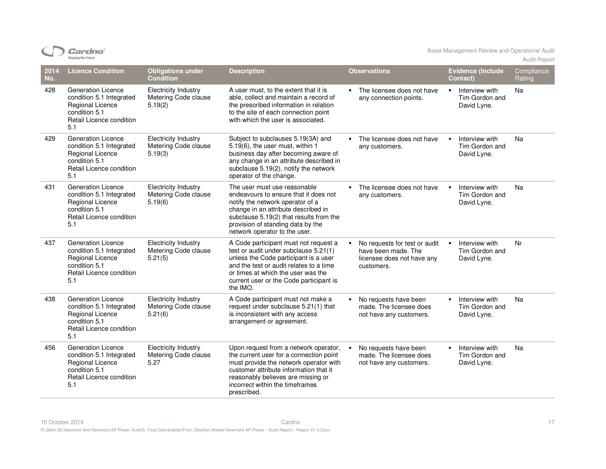|             | onaping the ruture                                                                                                            |                                                                |                                                                                                                                                                                                                                                                   |                                                                                                  |                                                                   | <b>Audit Report</b>  |
|-------------|-------------------------------------------------------------------------------------------------------------------------------|----------------------------------------------------------------|-------------------------------------------------------------------------------------------------------------------------------------------------------------------------------------------------------------------------------------------------------------------|--------------------------------------------------------------------------------------------------|-------------------------------------------------------------------|----------------------|
| 2014<br>No. | <b>Licence Condition</b>                                                                                                      | <b>Obligations under</b><br><b>Condition</b>                   | <b>Description</b>                                                                                                                                                                                                                                                | <b>Observations</b>                                                                              | <b>Evidence (Include</b><br>Contact)                              | Compliance<br>Rating |
| 428         | <b>Generation Licence</b><br>condition 5.1 Integrated<br>Regional Licence<br>condition 5.1<br>Retail Licence condition<br>5.1 | <b>Electricity Industry</b><br>Metering Code clause<br>5.19(2) | A user must, to the extent that it is<br>able, collect and maintain a record of<br>the prescribed information in relation<br>to the site of each connection point<br>with which the user is associated.                                                           | The licensee does not have<br>any connection points.                                             | Interview with<br>$\blacksquare$<br>Tim Gordon and<br>David Lyne. | Na                   |
| 429         | Generation Licence<br>condition 5.1 Integrated<br>Regional Licence<br>condition 5.1<br>Retail Licence condition<br>5.1        | <b>Electricity Industry</b><br>Metering Code clause<br>5.19(3) | Subject to subclauses 5.19(3A) and<br>5.19(6), the user must, within 1<br>business day after becoming aware of<br>any change in an attribute described in<br>subclause 5.19(2), notify the network<br>operator of the change.                                     | $\blacksquare$<br>The licensee does not have<br>any customers.                                   | Interview with<br>$\blacksquare$<br>Tim Gordon and<br>David Lyne. | Na                   |
| 431         | Generation Licence<br>condition 5.1 Integrated<br>Regional Licence<br>condition 5.1<br>Retail Licence condition<br>5.1        | <b>Electricity Industry</b><br>Metering Code clause<br>5.19(6) | The user must use reasonable<br>endeavours to ensure that it does not<br>notify the network operator of a<br>change in an attribute described in<br>subclause 5.19(2) that results from the<br>provision of standing data by the<br>network operator to the user. | The licensee does not have<br>$\blacksquare$<br>any customers.                                   | Interview with<br>$\blacksquare$<br>Tim Gordon and<br>David Lyne. | Na                   |
| 437         | <b>Generation Licence</b><br>condition 5.1 Integrated<br>Regional Licence<br>condition 5.1<br>Retail Licence condition<br>5.1 | <b>Electricity Industry</b><br>Metering Code clause<br>5.21(5) | A Code participant must not request a<br>test or audit under subclause 5.21(1)<br>unless the Code participant is a user<br>and the test or audit relates to a time<br>or times at which the user was the<br>current user or the Code participant is<br>the IMO.   | No requests for test or audit<br>have been made. The<br>licensee does not have any<br>customers. | $\blacksquare$<br>Interview with<br>Tim Gordon and<br>David Lyne. | Nr                   |
| 438         | <b>Generation Licence</b><br>condition 5.1 Integrated<br>Regional Licence<br>condition 5.1<br>Retail Licence condition<br>5.1 | <b>Electricity Industry</b><br>Metering Code clause<br>5.21(6) | A Code participant must not make a<br>request under subclause 5.21(1) that<br>is inconsistent with any access<br>arrangement or agreement.                                                                                                                        | No requests have been<br>made. The licensee does<br>not have any customers.                      | Interview with<br>$\blacksquare$<br>Tim Gordon and<br>David Lyne. | Na                   |
| 456         | Generation Licence<br>condition 5.1 Integrated<br>Regional Licence<br>condition 5.1<br>Retail Licence condition<br>5.1        | <b>Electricity Industry</b><br>Metering Code clause<br>5.27    | Upon request from a network operator,<br>the current user for a connection point<br>must provide the network operator with<br>customer attribute information that it<br>reasonably believes are missing or<br>incorrect within the timeframes<br>prescribed.      | No requests have been<br>made. The licensee does<br>not have any customers.                      | Interview with<br>$\blacksquare$<br>Tim Gordon and<br>David Lyne. | Na                   |

Cardno<sup>®</sup>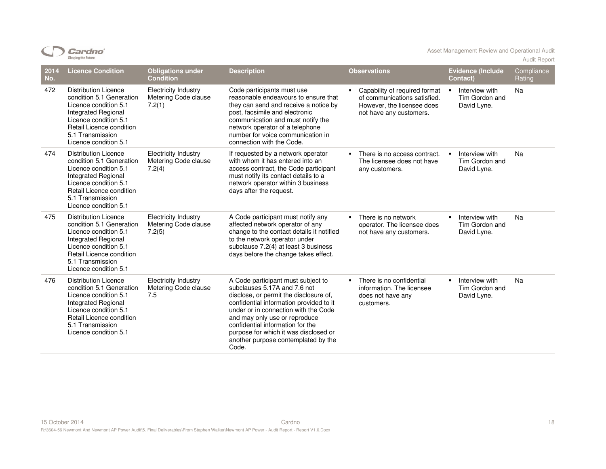| ardno                     |
|---------------------------|
| <b>Shaping the Future</b> |

Asset Management Review and Operational Audit Audit Report

| 2014<br>No. | <b>Licence Condition</b>                                                                                                                                                                                         | <b>Obligations under</b><br><b>Condition</b>                  | <b>Description</b>                                                                                                                                                                                                                                                                                                                                            | <b>Observations</b>                                                                                                    | <b>Evidence (Include</b><br><b>Contact)</b>                       | Compliance<br>Rating |
|-------------|------------------------------------------------------------------------------------------------------------------------------------------------------------------------------------------------------------------|---------------------------------------------------------------|---------------------------------------------------------------------------------------------------------------------------------------------------------------------------------------------------------------------------------------------------------------------------------------------------------------------------------------------------------------|------------------------------------------------------------------------------------------------------------------------|-------------------------------------------------------------------|----------------------|
| 472         | <b>Distribution Licence</b><br>condition 5.1 Generation<br>Licence condition 5.1<br>Integrated Regional<br>Licence condition 5.1<br>Retail Licence condition<br>5.1 Transmission<br>Licence condition 5.1        | <b>Electricity Industry</b><br>Metering Code clause<br>7.2(1) | Code participants must use<br>reasonable endeavours to ensure that<br>they can send and receive a notice by<br>post, facsimile and electronic<br>communication and must notify the<br>network operator of a telephone<br>number for voice communication in<br>connection with the Code.                                                                       | Capability of required format<br>of communications satisfied.<br>However, the licensee does<br>not have any customers. | Interview with<br>$\blacksquare$<br>Tim Gordon and<br>David Lyne. | Na                   |
| 474         | <b>Distribution Licence</b><br>condition 5.1 Generation<br>Licence condition 5.1<br><b>Integrated Regional</b><br>Licence condition 5.1<br>Retail Licence condition<br>5.1 Transmission<br>Licence condition 5.1 | <b>Electricity Industry</b><br>Metering Code clause<br>7.2(4) | If requested by a network operator<br>with whom it has entered into an<br>access contract, the Code participant<br>must notify its contact details to a<br>network operator within 3 business<br>days after the request.                                                                                                                                      | There is no access contract.<br>The licensee does not have<br>any customers.                                           | Interview with<br>$\blacksquare$<br>Tim Gordon and<br>David Lyne. | Na                   |
| 475         | <b>Distribution Licence</b><br>condition 5.1 Generation<br>Licence condition 5.1<br>Integrated Regional<br>Licence condition 5.1<br>Retail Licence condition<br>5.1 Transmission<br>Licence condition 5.1        | <b>Electricity Industry</b><br>Metering Code clause<br>7.2(5) | A Code participant must notify any<br>affected network operator of any<br>change to the contact details it notified<br>to the network operator under<br>subclause 7.2(4) at least 3 business<br>days before the change takes effect.                                                                                                                          | There is no network<br>operator. The licensee does<br>not have any customers.                                          | Interview with<br>$\blacksquare$<br>Tim Gordon and<br>David Lyne. | Na                   |
| 476         | <b>Distribution Licence</b><br>condition 5.1 Generation<br>Licence condition 5.1<br>Integrated Regional<br>Licence condition 5.1<br>Retail Licence condition<br>5.1 Transmission<br>Licence condition 5.1        | <b>Electricity Industry</b><br>Metering Code clause<br>7.5    | A Code participant must subject to<br>subclauses 5.17A and 7.6 not<br>disclose, or permit the disclosure of,<br>confidential information provided to it<br>under or in connection with the Code<br>and may only use or reproduce<br>confidential information for the<br>purpose for which it was disclosed or<br>another purpose contemplated by the<br>Code. | There is no confidential<br>$\blacksquare$<br>information. The licensee<br>does not have any<br>customers.             | Interview with<br>$\blacksquare$<br>Tim Gordon and<br>David Lyne. | Na                   |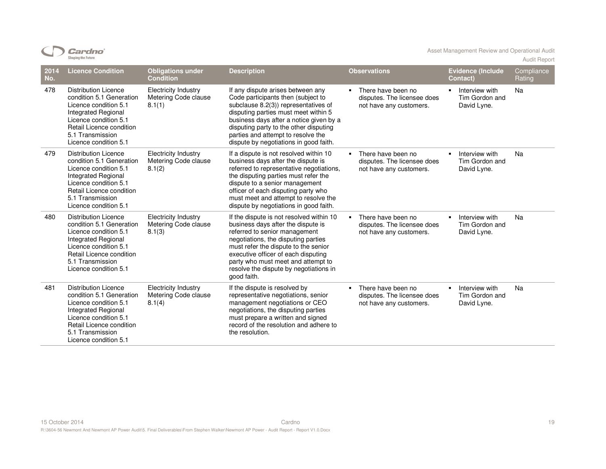| ardno                     |
|---------------------------|
| <b>Shaping the Future</b> |

Asset Management Review and Operational Audit Audit Report

| 2014<br>No. | <b>Licence Condition</b>                                                                                                                                                                                  | <b>Obligations under</b><br><b>Condition</b>                  | <b>Description</b>                                                                                                                                                                                                                                                                                                                   | <b>Observations</b>                                                          | <b>Evidence (Include</b><br>Contact)                              | Compliance<br>Rating |
|-------------|-----------------------------------------------------------------------------------------------------------------------------------------------------------------------------------------------------------|---------------------------------------------------------------|--------------------------------------------------------------------------------------------------------------------------------------------------------------------------------------------------------------------------------------------------------------------------------------------------------------------------------------|------------------------------------------------------------------------------|-------------------------------------------------------------------|----------------------|
| 478         | <b>Distribution Licence</b><br>condition 5.1 Generation<br>Licence condition 5.1<br>Integrated Regional<br>Licence condition 5.1<br>Retail Licence condition<br>5.1 Transmission<br>Licence condition 5.1 | <b>Electricity Industry</b><br>Metering Code clause<br>8.1(1) | If any dispute arises between any<br>Code participants then (subject to<br>subclause 8.2(3) representatives of<br>disputing parties must meet within 5<br>business days after a notice given by a<br>disputing party to the other disputing<br>parties and attempt to resolve the<br>dispute by negotiations in good faith.          | There have been no<br>disputes. The licensee does<br>not have any customers. | Interview with<br>$\blacksquare$<br>Tim Gordon and<br>David Lyne. | Na                   |
| 479         | <b>Distribution Licence</b><br>condition 5.1 Generation<br>Licence condition 5.1<br>Integrated Regional<br>Licence condition 5.1<br>Retail Licence condition<br>5.1 Transmission<br>Licence condition 5.1 | <b>Electricity Industry</b><br>Metering Code clause<br>8.1(2) | If a dispute is not resolved within 10<br>business days after the dispute is<br>referred to representative negotiations,<br>the disputing parties must refer the<br>dispute to a senior management<br>officer of each disputing party who<br>must meet and attempt to resolve the<br>dispute by negotiations in good faith.          | There have been no<br>disputes. The licensee does<br>not have any customers. | Interview with<br>$\blacksquare$<br>Tim Gordon and<br>David Lyne. | Na                   |
| 480         | <b>Distribution Licence</b><br>condition 5.1 Generation<br>Licence condition 5.1<br>Integrated Regional<br>Licence condition 5.1<br>Retail Licence condition<br>5.1 Transmission<br>Licence condition 5.1 | <b>Electricity Industry</b><br>Metering Code clause<br>8.1(3) | If the dispute is not resolved within 10<br>business days after the dispute is<br>referred to senior management<br>negotiations, the disputing parties<br>must refer the dispute to the senior<br>executive officer of each disputing<br>party who must meet and attempt to<br>resolve the dispute by negotiations in<br>good faith. | There have been no<br>disputes. The licensee does<br>not have any customers. | Interview with<br>$\blacksquare$<br>Tim Gordon and<br>David Lyne. | Na                   |
| 481         | <b>Distribution Licence</b><br>condition 5.1 Generation<br>Licence condition 5.1<br>Integrated Regional<br>Licence condition 5.1<br>Retail Licence condition<br>5.1 Transmission<br>Licence condition 5.1 | <b>Electricity Industry</b><br>Metering Code clause<br>8.1(4) | If the dispute is resolved by<br>representative negotiations, senior<br>management negotiations or CEO<br>negotiations, the disputing parties<br>must prepare a written and signed<br>record of the resolution and adhere to<br>the resolution.                                                                                      | There have been no<br>disputes. The licensee does<br>not have any customers. | Interview with<br>$\blacksquare$<br>Tim Gordon and<br>David Lyne. | Na                   |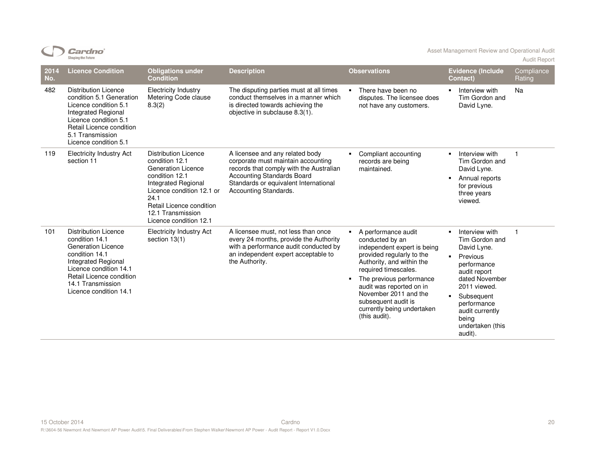|             | Cardnoʻ<br><b>Shaping the Future</b>                                                                                                                                                                                            |                                                                                                                                                                                                                                     |                                                                                                                                                                                                                         |                |                                                                                                                                                                                                                                                                                                                |                                       | Asset Management Review and Operational Audit                                                                                                                                                                        | <b>Audit Report</b>  |
|-------------|---------------------------------------------------------------------------------------------------------------------------------------------------------------------------------------------------------------------------------|-------------------------------------------------------------------------------------------------------------------------------------------------------------------------------------------------------------------------------------|-------------------------------------------------------------------------------------------------------------------------------------------------------------------------------------------------------------------------|----------------|----------------------------------------------------------------------------------------------------------------------------------------------------------------------------------------------------------------------------------------------------------------------------------------------------------------|---------------------------------------|----------------------------------------------------------------------------------------------------------------------------------------------------------------------------------------------------------------------|----------------------|
| 2014<br>No. | <b>Licence Condition</b>                                                                                                                                                                                                        | <b>Obligations under</b><br><b>Condition</b>                                                                                                                                                                                        | <b>Description</b>                                                                                                                                                                                                      |                | <b>Observations</b>                                                                                                                                                                                                                                                                                            |                                       | <b>Evidence (Include</b><br>Contact)                                                                                                                                                                                 | Compliance<br>Rating |
| 482         | <b>Distribution Licence</b><br>condition 5.1 Generation<br>Licence condition 5.1<br><b>Integrated Regional</b><br>Licence condition 5.1<br>Retail Licence condition<br>5.1 Transmission<br>Licence condition 5.1                | <b>Electricity Industry</b><br>Metering Code clause<br>8.3(2)                                                                                                                                                                       | The disputing parties must at all times<br>conduct themselves in a manner which<br>is directed towards achieving the<br>objective in subclause 8.3(1).                                                                  |                | There have been no<br>disputes. The licensee does<br>not have any customers.                                                                                                                                                                                                                                   | $\blacksquare$                        | Interview with<br>Tim Gordon and<br>David Lyne.                                                                                                                                                                      | Na                   |
| 119         | <b>Electricity Industry Act</b><br>section 11                                                                                                                                                                                   | <b>Distribution Licence</b><br>condition 12.1<br><b>Generation Licence</b><br>condition 12.1<br>Integrated Regional<br>Licence condition 12.1 or<br>24.1<br>Retail Licence condition<br>12.1 Transmission<br>Licence condition 12.1 | A licensee and any related body<br>corporate must maintain accounting<br>records that comply with the Australian<br><b>Accounting Standards Board</b><br>Standards or equivalent International<br>Accounting Standards. |                | Compliant accounting<br>records are being<br>maintained.                                                                                                                                                                                                                                                       | $\blacksquare$                        | Interview with<br>Tim Gordon and<br>David Lyne.<br>Annual reports<br>for previous<br>three years<br>viewed.                                                                                                          | $\mathbf{1}$         |
| 101         | <b>Distribution Licence</b><br>condition 14.1<br><b>Generation Licence</b><br>condition 14.1<br><b>Integrated Regional</b><br>Licence condition 14.1<br>Retail Licence condition<br>14.1 Transmission<br>Licence condition 14.1 | <b>Electricity Industry Act</b><br>section $13(1)$                                                                                                                                                                                  | A licensee must, not less than once<br>every 24 months, provide the Authority<br>with a performance audit conducted by<br>an independent expert acceptable to<br>the Authority.                                         | $\blacksquare$ | A performance audit<br>conducted by an<br>independent expert is being<br>provided regularly to the<br>Authority, and within the<br>required timescales.<br>The previous performance<br>audit was reported on in<br>November 2011 and the<br>subsequent audit is<br>currently being undertaken<br>(this audit). | $\blacksquare$<br>$\blacksquare$<br>٠ | Interview with<br>Tim Gordon and<br>David Lyne.<br>Previous<br>performance<br>audit report<br>dated November<br>2011 viewed.<br>Subsequent<br>performance<br>audit currently<br>being<br>undertaken (this<br>audit). | $\mathbf{1}$         |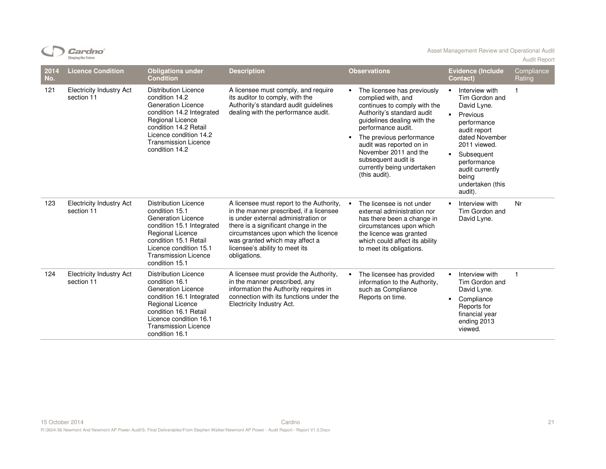|             | <b>Shaping the Future</b>                     |                                                                                                                                                                                                                                        |                                                                                                                                                                                                                                                                                                |                                                                                                                                                                                                                                                                                                                                  |                                                                                                                                                                                                                                                                            | <b>Audit Report</b>  |
|-------------|-----------------------------------------------|----------------------------------------------------------------------------------------------------------------------------------------------------------------------------------------------------------------------------------------|------------------------------------------------------------------------------------------------------------------------------------------------------------------------------------------------------------------------------------------------------------------------------------------------|----------------------------------------------------------------------------------------------------------------------------------------------------------------------------------------------------------------------------------------------------------------------------------------------------------------------------------|----------------------------------------------------------------------------------------------------------------------------------------------------------------------------------------------------------------------------------------------------------------------------|----------------------|
| 2014<br>No. | <b>Licence Condition</b>                      | <b>Obligations under</b><br><b>Condition</b>                                                                                                                                                                                           | <b>Description</b>                                                                                                                                                                                                                                                                             | <b>Observations</b>                                                                                                                                                                                                                                                                                                              | <b>Evidence (Include</b><br>Contact)                                                                                                                                                                                                                                       | Compliance<br>Rating |
| 121         | <b>Electricity Industry Act</b><br>section 11 | <b>Distribution Licence</b><br>condition 14.2<br>Generation Licence<br>condition 14.2 Integrated<br>Regional Licence<br>condition 14.2 Retail<br>Licence condition 14.2<br><b>Transmission Licence</b><br>condition 14.2               | A licensee must comply, and require<br>its auditor to comply, with the<br>Authority's standard audit guidelines<br>dealing with the performance audit.                                                                                                                                         | The licensee has previously<br>complied with, and<br>continues to comply with the<br>Authority's standard audit<br>guidelines dealing with the<br>performance audit.<br>The previous performance<br>٠<br>audit was reported on in<br>November 2011 and the<br>subsequent audit is<br>currently being undertaken<br>(this audit). | Interview with<br>$\blacksquare$<br>Tim Gordon and<br>David Lyne.<br>$\blacksquare$<br>Previous<br>performance<br>audit report<br>dated November<br>2011 viewed.<br>Subsequent<br>$\blacksquare$<br>performance<br>audit currently<br>being<br>undertaken (this<br>audit). |                      |
| 123         | <b>Electricity Industry Act</b><br>section 11 | <b>Distribution Licence</b><br>condition 15.1<br><b>Generation Licence</b><br>condition 15.1 Integrated<br><b>Regional Licence</b><br>condition 15.1 Retail<br>Licence condition 15.1<br><b>Transmission Licence</b><br>condition 15.1 | A licensee must report to the Authority,<br>in the manner prescribed, if a licensee<br>is under external administration or<br>there is a significant change in the<br>circumstances upon which the licence<br>was granted which may affect a<br>licensee's ability to meet its<br>obligations. | The licensee is not under<br>٠.<br>external administration nor<br>has there been a change in<br>circumstances upon which<br>the licence was granted<br>which could affect its ability<br>to meet its obligations.                                                                                                                | Interview with<br>Tim Gordon and<br>David Lyne.                                                                                                                                                                                                                            | Nr                   |
| 124         | <b>Electricity Industry Act</b><br>section 11 | <b>Distribution Licence</b><br>condition 16.1<br>Generation Licence<br>condition 16.1 Integrated<br><b>Regional Licence</b><br>condition 16.1 Retail<br>Licence condition 16.1<br><b>Transmission Licence</b><br>condition 16.1        | A licensee must provide the Authority,<br>in the manner prescribed, any<br>information the Authority requires in<br>connection with its functions under the<br>Electricity Industry Act.                                                                                                       | The licensee has provided<br>information to the Authority,<br>such as Compliance<br>Reports on time.                                                                                                                                                                                                                             | Interview with<br>$\blacksquare$<br>Tim Gordon and<br>David Lyne.<br>Compliance<br>$\blacksquare$<br>Reports for<br>financial year<br>ending 2013<br>viewed.                                                                                                               | $\mathbf{1}$         |

 $CD$  Cardno<sup>\*</sup>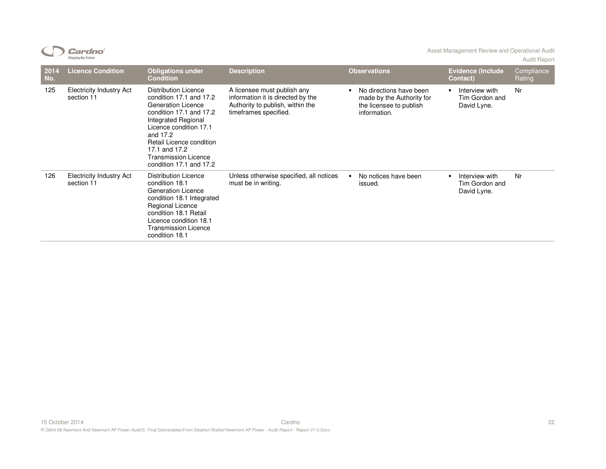|             | <b>Cardno</b> ʻ<br><b>Shaping the Future</b>  |                                                                                                                                                                                                                                                                             |                                                                                                                               |                                                                                                 | Asset Management Review and Operational Audit                     | <b>Audit Report</b>  |
|-------------|-----------------------------------------------|-----------------------------------------------------------------------------------------------------------------------------------------------------------------------------------------------------------------------------------------------------------------------------|-------------------------------------------------------------------------------------------------------------------------------|-------------------------------------------------------------------------------------------------|-------------------------------------------------------------------|----------------------|
| 2014<br>No. | <b>Licence Condition</b>                      | <b>Obligations under</b><br><b>Condition</b>                                                                                                                                                                                                                                | <b>Description</b>                                                                                                            | <b>Observations</b>                                                                             | <b>Evidence (Include</b><br>Contact)                              | Compliance<br>Rating |
| 125         | <b>Electricity Industry Act</b><br>section 11 | <b>Distribution Licence</b><br>condition 17.1 and 17.2<br><b>Generation Licence</b><br>condition 17.1 and 17.2<br>Integrated Regional<br>Licence condition 17.1<br>and 17.2<br>Retail Licence condition<br>17.1 and 17.2<br>Transmission Licence<br>condition 17.1 and 17.2 | A licensee must publish any<br>information it is directed by the<br>Authority to publish, within the<br>timeframes specified. | No directions have been<br>made by the Authority for<br>the licensee to publish<br>information. | Interview with<br>Tim Gordon and<br>David Lyne.                   | Nr                   |
| 126         | <b>Electricity Industry Act</b><br>section 11 | Distribution Licence<br>condition 18.1<br><b>Generation Licence</b><br>condition 18.1 Integrated<br>Regional Licence<br>condition 18.1 Retail<br>Licence condition 18.1<br><b>Transmission Licence</b><br>condition 18.1                                                    | Unless otherwise specified, all notices<br>must be in writing.                                                                | No notices have been<br>issued.                                                                 | Interview with<br>$\blacksquare$<br>Tim Gordon and<br>David Lyne. | Nr                   |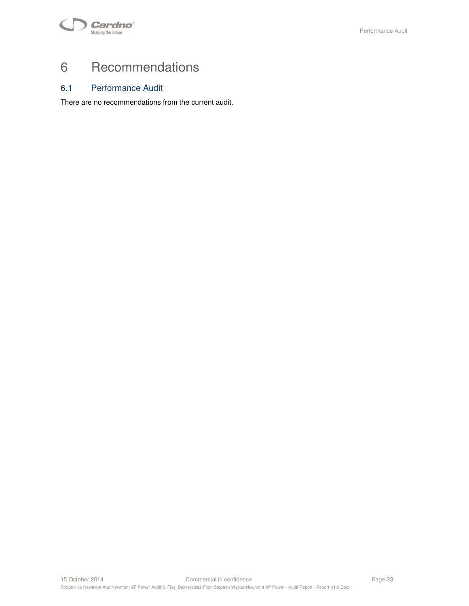

# 6 Recommendations

## 6.1 Performance Audit

There are no recommendations from the current audit.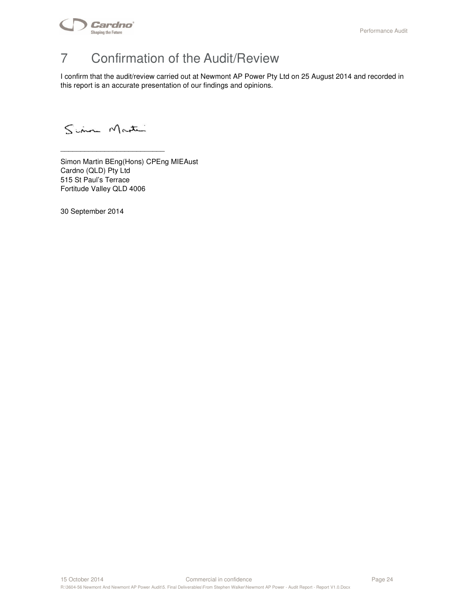

# 7 Confirmation of the Audit/Review

I confirm that the audit/review carried out at Newmont AP Power Pty Ltd on 25 August 2014 and recorded in this report is an accurate presentation of our findings and opinions.

Sim Martin

\_\_\_\_\_\_\_\_\_\_\_\_\_\_\_\_\_\_\_\_\_\_\_\_\_\_

Simon Martin BEng(Hons) CPEng MIEAust Cardno (QLD) Pty Ltd 515 St Paul's Terrace Fortitude Valley QLD 4006

30 September 2014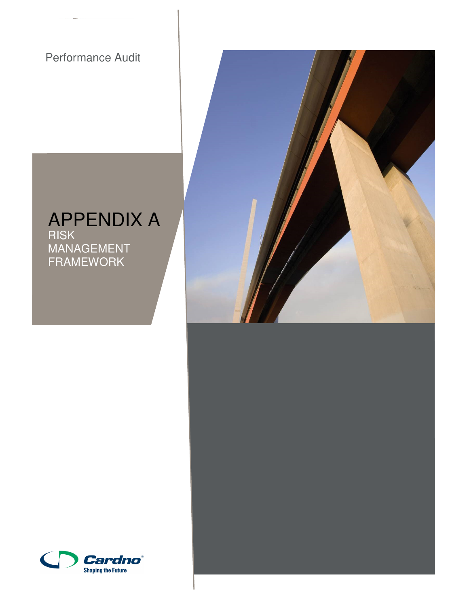Performance Audit

APPENDIX A RISK MANAGEMENT FRAMEWORK





15 October 2014 Commercial in confidence Page 25

R:\3604-56 Newmont And Newmont AP Power Audit\5. Final Deliverables\From Stephen Walker\Newmont AP Power - Audit Report - Report V1.0.Docx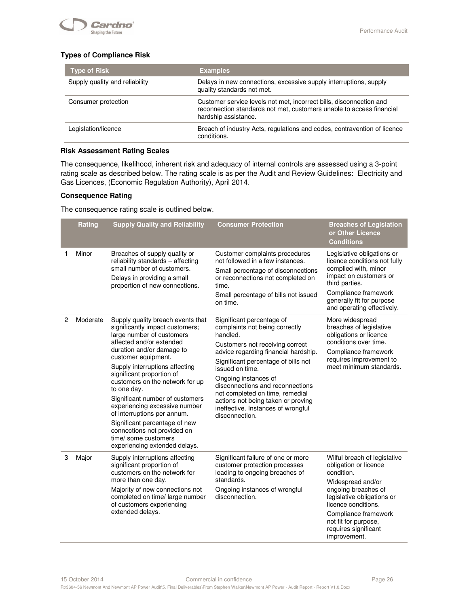

#### **Types of Compliance Risk**

| <b>Type of Risk</b>            | <b>Examples</b>                                                                                                                                                     |
|--------------------------------|---------------------------------------------------------------------------------------------------------------------------------------------------------------------|
| Supply quality and reliability | Delays in new connections, excessive supply interruptions, supply<br>quality standards not met.                                                                     |
| Consumer protection            | Customer service levels not met, incorrect bills, disconnection and<br>reconnection standards not met, customers unable to access financial<br>hardship assistance. |
| Legislation/licence            | Breach of industry Acts, regulations and codes, contravention of licence<br>conditions.                                                                             |

#### **Risk Assessment Rating Scales**

The consequence, likelihood, inherent risk and adequacy of internal controls are assessed using a 3-point rating scale as described below. The rating scale is as per the Audit and Review Guidelines: Electricity and Gas Licences, (Economic Regulation Authority), April 2014.

#### **Consequence Rating**

The consequence rating scale is outlined below.

|   | Rating   | <b>Supply Quality and Reliability</b>                                                                                                                                                                                                                                                                                                                                                                                                                                                                                          | <b>Consumer Protection</b>                                                                                                                                                                                                                                                                                                                                                                                | <b>Breaches of Legislation</b><br>or Other Licence<br><b>Conditions</b>                                                                                                                                                                                      |
|---|----------|--------------------------------------------------------------------------------------------------------------------------------------------------------------------------------------------------------------------------------------------------------------------------------------------------------------------------------------------------------------------------------------------------------------------------------------------------------------------------------------------------------------------------------|-----------------------------------------------------------------------------------------------------------------------------------------------------------------------------------------------------------------------------------------------------------------------------------------------------------------------------------------------------------------------------------------------------------|--------------------------------------------------------------------------------------------------------------------------------------------------------------------------------------------------------------------------------------------------------------|
| 1 | Minor    | Breaches of supply quality or<br>reliability standards - affecting<br>small number of customers.<br>Delays in providing a small<br>proportion of new connections.                                                                                                                                                                                                                                                                                                                                                              | Customer complaints procedures<br>not followed in a few instances.<br>Small percentage of disconnections<br>or reconnections not completed on<br>time.<br>Small percentage of bills not issued<br>on time.                                                                                                                                                                                                | Legislative obligations or<br>licence conditions not fully<br>complied with, minor<br>impact on customers or<br>third parties.<br>Compliance framework<br>generally fit for purpose<br>and operating effectively.                                            |
| 2 | Moderate | Supply quality breach events that<br>significantly impact customers;<br>large number of customers<br>affected and/or extended<br>duration and/or damage to<br>customer equipment.<br>Supply interruptions affecting<br>significant proportion of<br>customers on the network for up<br>to one day.<br>Significant number of customers<br>experiencing excessive number<br>of interruptions per annum.<br>Significant percentage of new<br>connections not provided on<br>time/ some customers<br>experiencing extended delays. | Significant percentage of<br>complaints not being correctly<br>handled.<br>Customers not receiving correct<br>advice regarding financial hardship.<br>Significant percentage of bills not<br>issued on time.<br>Ongoing instances of<br>disconnections and reconnections<br>not completed on time, remedial<br>actions not being taken or proving<br>ineffective. Instances of wrongful<br>disconnection. | More widespread<br>breaches of legislative<br>obligations or licence<br>conditions over time.<br>Compliance framework<br>requires improvement to<br>meet minimum standards.                                                                                  |
| 3 | Major    | Supply interruptions affecting<br>significant proportion of<br>customers on the network for<br>more than one day.<br>Majority of new connections not<br>completed on time/ large number<br>of customers experiencing<br>extended delays.                                                                                                                                                                                                                                                                                       | Significant failure of one or more<br>customer protection processes<br>leading to ongoing breaches of<br>standards.<br>Ongoing instances of wrongful<br>disconnection.                                                                                                                                                                                                                                    | Wilful breach of legislative<br>obligation or licence<br>condition.<br>Widespread and/or<br>ongoing breaches of<br>legislative obligations or<br>licence conditions.<br>Compliance framework<br>not fit for purpose,<br>requires significant<br>improvement. |